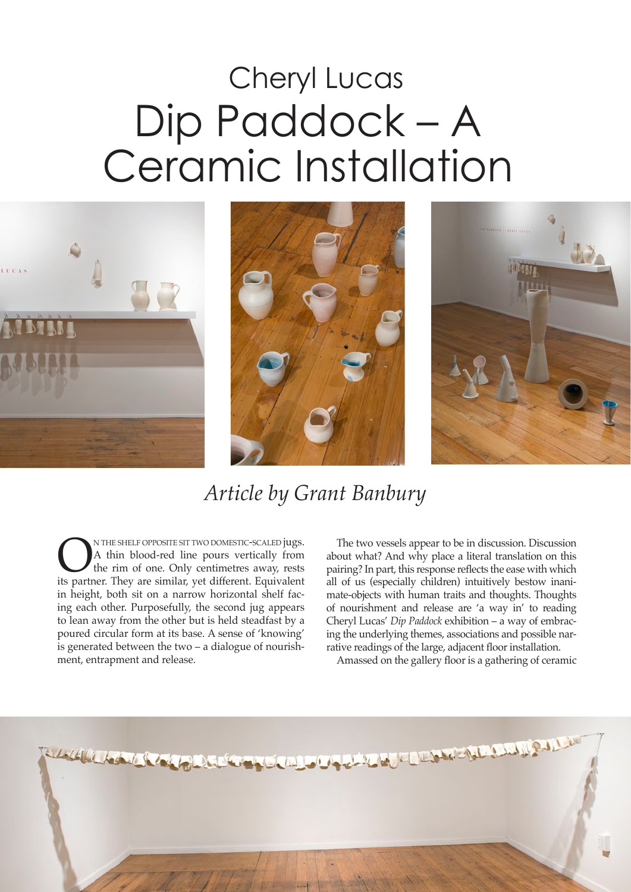## Dip Paddock – A Ceramic Installation Cheryl Lucas







## *Article by Grant Banbury*

**ON THE SHELF OPPOSITE SIT TWO DOMESTIC-SCALED jugs.**<br>A thin blood-red line pours vertically from the rim of one. Only centimetres away, rests its partner. They are similar, yet different. Equivalent A thin blood-red line pours vertically from the rim of one. Only centimetres away, rests its partner. They are similar, yet different. Equivalent in height, both sit on a narrow horizontal shelf facing each other. Purposefully, the second jug appears to lean away from the other but is held steadfast by a poured circular form at its base. A sense of 'knowing' is generated between the two – a dialogue of nourishment, entrapment and release.

The two vessels appear to be in discussion. Discussion about what? And why place a literal translation on this pairing? In part, this response reflects the ease with which all of us (especially children) intuitively bestow inanimate-objects with human traits and thoughts. Thoughts of nourishment and release are 'a way in' to reading Cheryl Lucas' *Dip Paddock* exhibition – a way of embracing the underlying themes, associations and possible narrative readings of the large, adjacent floor installation.

Amassed on the gallery floor is a gathering of ceramic

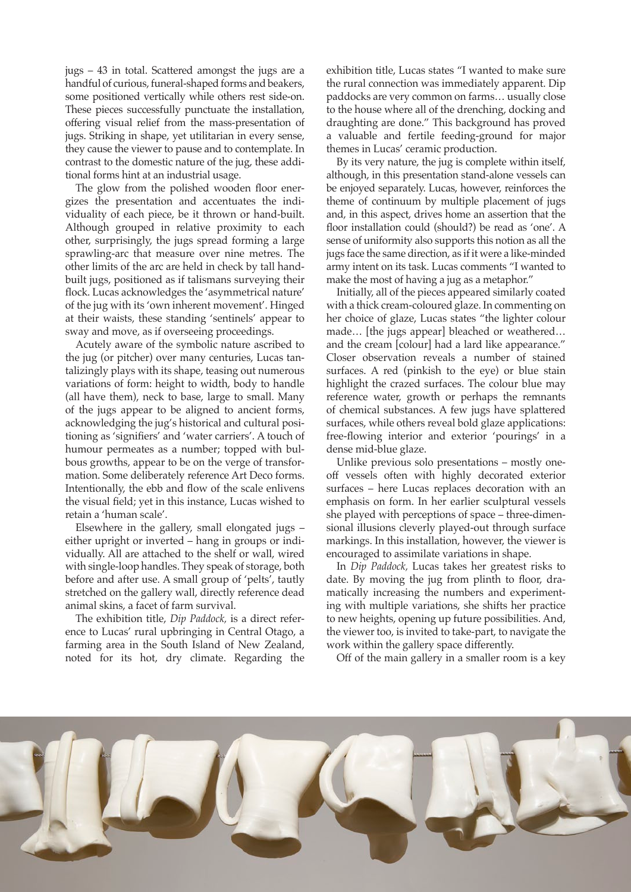jugs – 43 in total. Scattered amongst the jugs are a handful of curious, funeral-shaped forms and beakers, some positioned vertically while others rest side-on. These pieces successfully punctuate the installation, offering visual relief from the mass-presentation of jugs. Striking in shape, yet utilitarian in every sense, they cause the viewer to pause and to contemplate. In contrast to the domestic nature of the jug, these additional forms hint at an industrial usage.

The glow from the polished wooden floor energizes the presentation and accentuates the individuality of each piece, be it thrown or hand-built. Although grouped in relative proximity to each other, surprisingly, the jugs spread forming a large sprawling-arc that measure over nine metres. The other limits of the arc are held in check by tall handbuilt jugs, positioned as if talismans surveying their flock. Lucas acknowledges the 'asymmetrical nature' of the jug with its 'own inherent movement'. Hinged at their waists, these standing 'sentinels' appear to sway and move, as if overseeing proceedings.

Acutely aware of the symbolic nature ascribed to the jug (or pitcher) over many centuries, Lucas tantalizingly plays with its shape, teasing out numerous variations of form: height to width, body to handle (all have them), neck to base, large to small. Many of the jugs appear to be aligned to ancient forms, acknowledging the jug's historical and cultural positioning as 'signifiers' and 'water carriers'. A touch of humour permeates as a number; topped with bulbous growths, appear to be on the verge of transformation. Some deliberately reference Art Deco forms. Intentionally, the ebb and flow of the scale enlivens the visual field; yet in this instance, Lucas wished to retain a 'human scale'.

Elsewhere in the gallery, small elongated jugs – either upright or inverted – hang in groups or individually. All are attached to the shelf or wall, wired with single-loop handles. They speak of storage, both before and after use. A small group of 'pelts', tautly stretched on the gallery wall, directly reference dead animal skins, a facet of farm survival.

The exhibition title, *Dip Paddock,* is a direct reference to Lucas' rural upbringing in Central Otago, a farming area in the South Island of New Zealand, noted for its hot, dry climate. Regarding the

exhibition title, Lucas states "I wanted to make sure the rural connection was immediately apparent. Dip paddocks are very common on farms… usually close to the house where all of the drenching, docking and draughting are done." This background has proved a valuable and fertile feeding-ground for major themes in Lucas' ceramic production.

By its very nature, the jug is complete within itself, although, in this presentation stand-alone vessels can be enjoyed separately. Lucas, however, reinforces the theme of continuum by multiple placement of jugs and, in this aspect, drives home an assertion that the floor installation could (should?) be read as 'one'. A sense of uniformity also supports this notion as all the jugs face the same direction, as if it were a like-minded army intent on its task. Lucas comments "I wanted to make the most of having a jug as a metaphor."

Initially, all of the pieces appeared similarly coated with a thick cream-coloured glaze. In commenting on her choice of glaze, Lucas states "the lighter colour made… [the jugs appear] bleached or weathered… and the cream [colour] had a lard like appearance." Closer observation reveals a number of stained surfaces. A red (pinkish to the eye) or blue stain highlight the crazed surfaces. The colour blue may reference water, growth or perhaps the remnants of chemical substances. A few jugs have splattered surfaces, while others reveal bold glaze applications: free-flowing interior and exterior 'pourings' in a dense mid-blue glaze.

Unlike previous solo presentations – mostly oneoff vessels often with highly decorated exterior surfaces – here Lucas replaces decoration with an emphasis on form. In her earlier sculptural vessels she played with perceptions of space – three-dimensional illusions cleverly played-out through surface markings. In this installation, however, the viewer is encouraged to assimilate variations in shape.

In *Dip Paddock,* Lucas takes her greatest risks to date. By moving the jug from plinth to floor, dramatically increasing the numbers and experimenting with multiple variations, she shifts her practice to new heights, opening up future possibilities. And, the viewer too, is invited to take-part, to navigate the work within the gallery space differently.

Off of the main gallery in a smaller room is a key